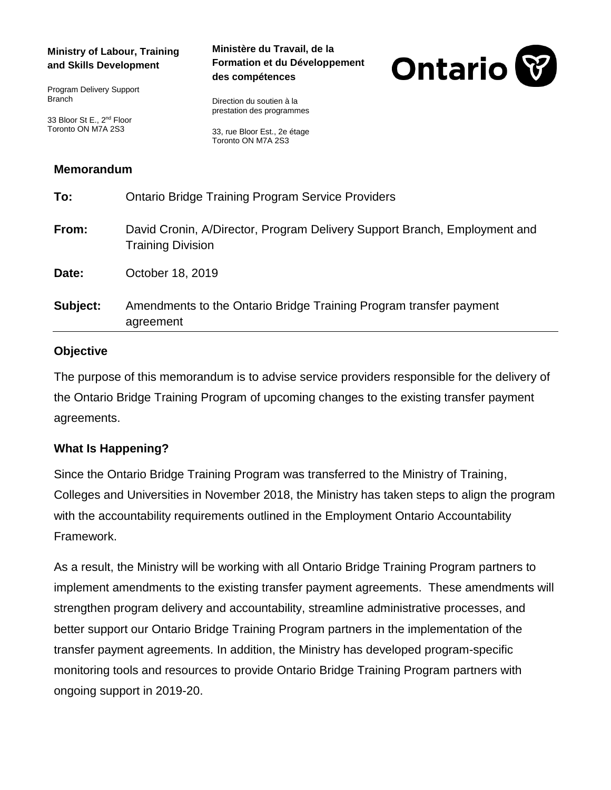#### **Ministry of Labour, Training and Skills Development**

Program Delivery Support Branch

33 Bloor St E., 2<sup>nd</sup> Floor Toronto ON M7A 2S3

#### **Ministère du Travail, de la Formation et du Développement des compétences**



Direction du soutien à la prestation des programmes

33, rue Bloor Est., 2e étage Toronto ON M7A 2S3

### **Memorandum**

| Subject: | Amendments to the Ontario Bridge Training Program transfer payment<br>agreement                       |
|----------|-------------------------------------------------------------------------------------------------------|
| Date:    | October 18, 2019                                                                                      |
| From:    | David Cronin, A/Director, Program Delivery Support Branch, Employment and<br><b>Training Division</b> |
| To:      | <b>Ontario Bridge Training Program Service Providers</b>                                              |

#### **Objective**

The purpose of this memorandum is to advise service providers responsible for the delivery of the Ontario Bridge Training Program of upcoming changes to the existing transfer payment agreements.

### **What Is Happening?**

Since the Ontario Bridge Training Program was transferred to the Ministry of Training, Colleges and Universities in November 2018, the Ministry has taken steps to align the program with the accountability requirements outlined in the Employment Ontario Accountability Framework.

As a result, the Ministry will be working with all Ontario Bridge Training Program partners to implement amendments to the existing transfer payment agreements. These amendments will strengthen program delivery and accountability, streamline administrative processes, and better support our Ontario Bridge Training Program partners in the implementation of the transfer payment agreements. In addition, the Ministry has developed program-specific monitoring tools and resources to provide Ontario Bridge Training Program partners with ongoing support in 2019-20.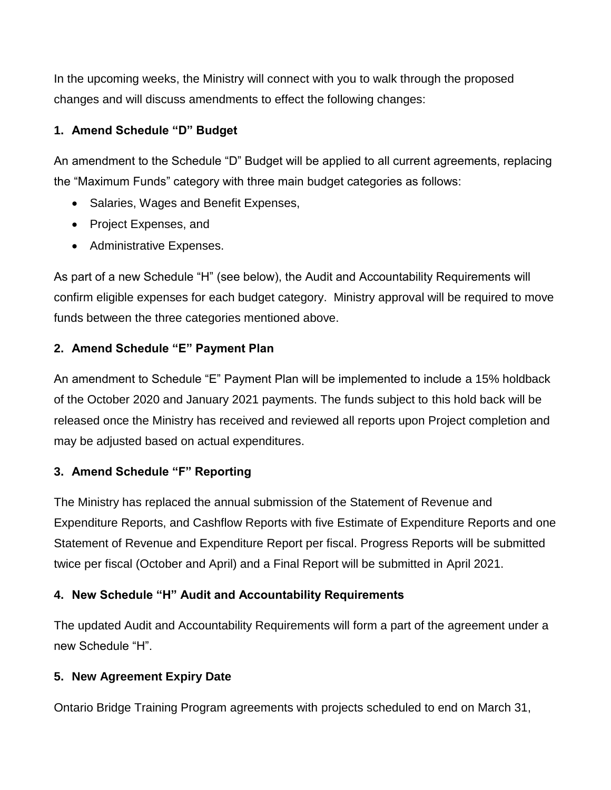In the upcoming weeks, the Ministry will connect with you to walk through the proposed changes and will discuss amendments to effect the following changes:

# **1. Amend Schedule "D" Budget**

An amendment to the Schedule "D" Budget will be applied to all current agreements, replacing the "Maximum Funds" category with three main budget categories as follows:

- Salaries, Wages and Benefit Expenses,
- Project Expenses, and
- Administrative Expenses.

As part of a new Schedule "H" (see below), the Audit and Accountability Requirements will confirm eligible expenses for each budget category. Ministry approval will be required to move funds between the three categories mentioned above.

# **2. Amend Schedule "E" Payment Plan**

An amendment to Schedule "E" Payment Plan will be implemented to include a 15% holdback of the October 2020 and January 2021 payments. The funds subject to this hold back will be released once the Ministry has received and reviewed all reports upon Project completion and may be adjusted based on actual expenditures.

# **3. Amend Schedule "F" Reporting**

The Ministry has replaced the annual submission of the Statement of Revenue and Expenditure Reports, and Cashflow Reports with five Estimate of Expenditure Reports and one Statement of Revenue and Expenditure Report per fiscal. Progress Reports will be submitted twice per fiscal (October and April) and a Final Report will be submitted in April 2021.

# **4. New Schedule "H" Audit and Accountability Requirements**

The updated Audit and Accountability Requirements will form a part of the agreement under a new Schedule "H".

# **5. New Agreement Expiry Date**

Ontario Bridge Training Program agreements with projects scheduled to end on March 31,